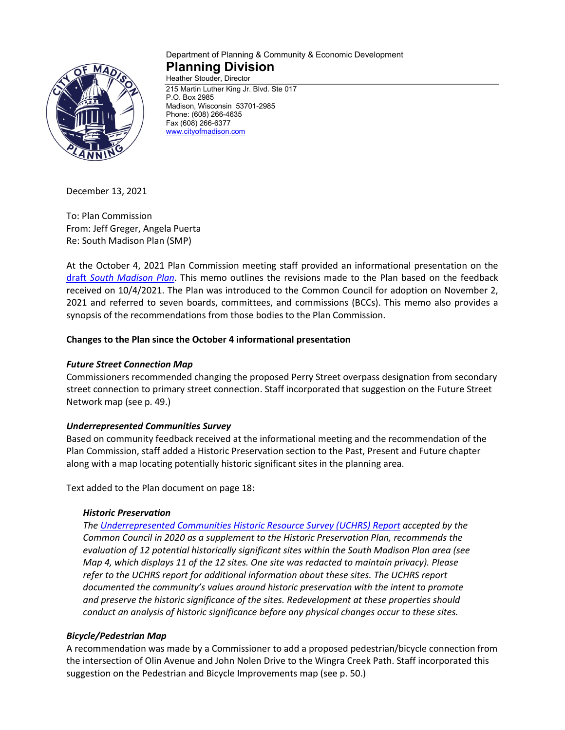

#### Department of Planning & Community & Economic Development **Planning Division** Heather Stouder, Director

215 Martin Luther King Jr. Blvd. Ste 017 P.O. Box 2985 Madison, Wisconsin 53701-2985 Phone: (608) 266-4635 Fax (608) 266-6377 [www.cityofmadison.com](http://www.cityofmadison.com/)

December 13, 2021

To: Plan Commission From: Jeff Greger, Angela Puerta Re: South Madison Plan (SMP)

At the October 4, 2021 Plan Commission meeting staff provided an informational presentation on the draft *[South Madison Plan](https://madison.legistar.com/View.ashx?M=F&ID=9917126&GUID=B0416AA6-47A9-43E5-AF83-0DF43F2A5656)*. This memo outlines the revisions made to the Plan based on the feedback received on 10/4/2021. The Plan was introduced to the Common Council for adoption on November 2, 2021 and referred to seven boards, committees, and commissions (BCCs). This memo also provides a synopsis of the recommendations from those bodies to the Plan Commission.

## **Changes to the Plan since the October 4 informational presentation**

#### *Future Street Connection Map*

Commissioners recommended changing the proposed Perry Street overpass designation from secondary street connection to primary street connection. Staff incorporated that suggestion on the Future Street Network map (see p. 49.)

#### *Underrepresented Communities Survey*

Based on community feedback received at the informational meeting and the recommendation of the Plan Commission, staff added a Historic Preservation section to the Past, Present and Future chapter along with a map locating potentially historic significant sites in the planning area.

Text added to the Plan document on page 18:

#### *Historic Preservation*

*The [Underrepresented Communities Historic Resource Survey \(UCHRS\) Report](https://www.cityofmadison.com/dpced/planning/documents/City%20of%20Madison%20Underrepresented%20Communities%20Intensive%20Survey%20Report%20-%20REDACTED.pdf) accepted by the Common Council in 2020 as a supplement to the Historic Preservation Plan, recommends the evaluation of 12 potential historically significant sites within the South Madison Plan area (see Map 4, which displays 11 of the 12 sites. One site was redacted to maintain privacy). Please refer to the UCHRS report for additional information about these sites. The UCHRS report documented the community's values around historic preservation with the intent to promote and preserve the historic significance of the sites. Redevelopment at these properties should conduct an analysis of historic significance before any physical changes occur to these sites.*

#### *Bicycle/Pedestrian Map*

A recommendation was made by a Commissioner to add a proposed pedestrian/bicycle connection from the intersection of Olin Avenue and John Nolen Drive to the Wingra Creek Path. Staff incorporated this suggestion on the Pedestrian and Bicycle Improvements map (see p. 50.)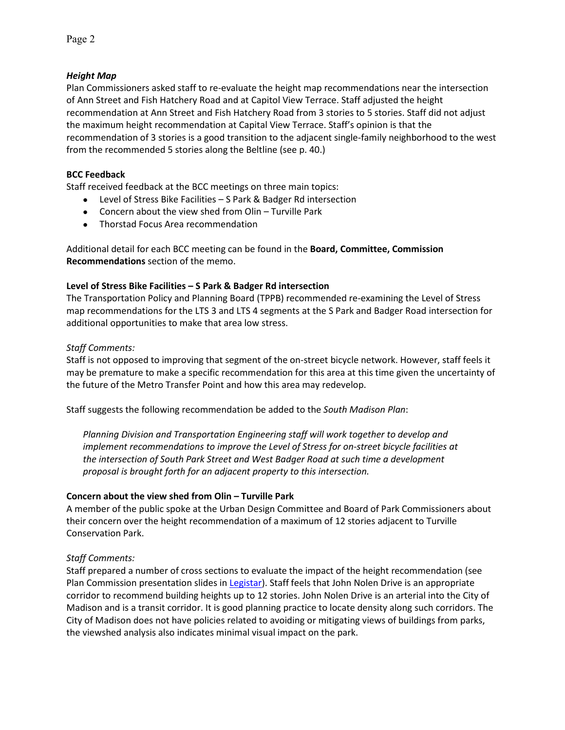## *Height Map*

Plan Commissioners asked staff to re-evaluate the height map recommendations near the intersection of Ann Street and Fish Hatchery Road and at Capitol View Terrace. Staff adjusted the height recommendation at Ann Street and Fish Hatchery Road from 3 stories to 5 stories. Staff did not adjust the maximum height recommendation at Capital View Terrace. Staff's opinion is that the recommendation of 3 stories is a good transition to the adjacent single-family neighborhood to the west from the recommended 5 stories along the Beltline (see p. 40.)

### **BCC Feedback**

Staff received feedback at the BCC meetings on three main topics:

- Level of Stress Bike Facilities S Park & Badger Rd intersection
- Concern about the view shed from Olin Turville Park
- Thorstad Focus Area recommendation

Additional detail for each BCC meeting can be found in the **Board, Committee, Commission Recommendations** section of the memo.

#### **Level of Stress Bike Facilities – S Park & Badger Rd intersection**

The Transportation Policy and Planning Board (TPPB) recommended re-examining the Level of Stress map recommendations for the LTS 3 and LTS 4 segments at the S Park and Badger Road intersection for additional opportunities to make that area low stress.

### *Staff Comments:*

Staff is not opposed to improving that segment of the on-street bicycle network. However, staff feels it may be premature to make a specific recommendation for this area at this time given the uncertainty of the future of the Metro Transfer Point and how this area may redevelop.

Staff suggests the following recommendation be added to the *South Madison Plan*:

*Planning Division and Transportation Engineering staff will work together to develop and implement recommendations to improve the Level of Stress for on-street bicycle facilities at the intersection of South Park Street and West Badger Road at such time a development proposal is brought forth for an adjacent property to this intersection.*

#### **Concern about the view shed from Olin – Turville Park**

A member of the public spoke at the Urban Design Committee and Board of Park Commissioners about their concern over the height recommendation of a maximum of 12 stories adjacent to Turville Conservation Park.

## *Staff Comments:*

Staff prepared a number of cross sections to evaluate the impact of the height recommendation (see Plan Commission presentation slides in [Legistar\)](https://madison.legistar.com/LegislationDetail.aspx?ID=5196798&GUID=579F0EE4-F9E7-40E4-BFC6-1E23F3C331B8&Options=ID|Text|&Search=68084). Staff feels that John Nolen Drive is an appropriate corridor to recommend building heights up to 12 stories. John Nolen Drive is an arterial into the City of Madison and is a transit corridor. It is good planning practice to locate density along such corridors. The City of Madison does not have policies related to avoiding or mitigating views of buildings from parks, the viewshed analysis also indicates minimal visual impact on the park.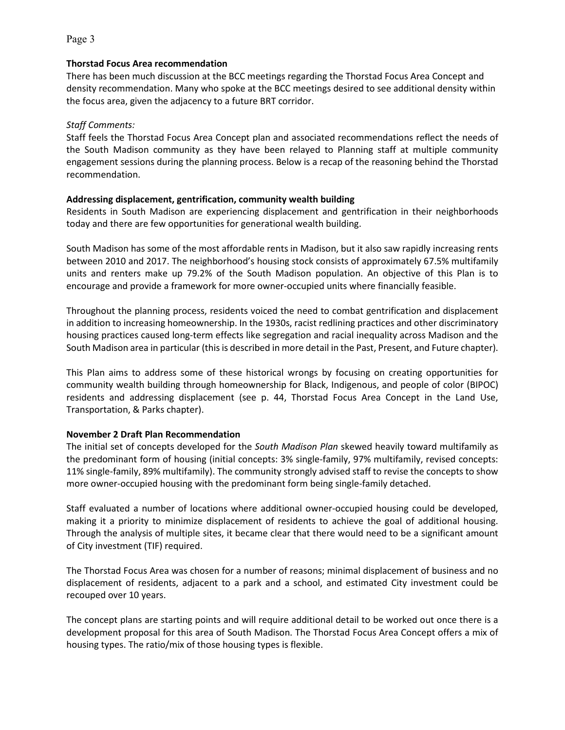#### **Thorstad Focus Area recommendation**

There has been much discussion at the BCC meetings regarding the Thorstad Focus Area Concept and density recommendation. Many who spoke at the BCC meetings desired to see additional density within the focus area, given the adjacency to a future BRT corridor.

#### *Staff Comments:*

Staff feels the Thorstad Focus Area Concept plan and associated recommendations reflect the needs of the South Madison community as they have been relayed to Planning staff at multiple community engagement sessions during the planning process. Below is a recap of the reasoning behind the Thorstad recommendation.

#### **Addressing displacement, gentrification, community wealth building**

Residents in South Madison are experiencing displacement and gentrification in their neighborhoods today and there are few opportunities for generational wealth building.

South Madison has some of the most affordable rents in Madison, but it also saw rapidly increasing rents between 2010 and 2017. The neighborhood's housing stock consists of approximately 67.5% multifamily units and renters make up 79.2% of the South Madison population. An objective of this Plan is to encourage and provide a framework for more owner-occupied units where financially feasible.

Throughout the planning process, residents voiced the need to combat gentrification and displacement in addition to increasing homeownership. In the 1930s, racist redlining practices and other discriminatory housing practices caused long-term effects like segregation and racial inequality across Madison and the South Madison area in particular (this is described in more detail in the Past, Present, and Future chapter).

This Plan aims to address some of these historical wrongs by focusing on creating opportunities for community wealth building through homeownership for Black, Indigenous, and people of color (BIPOC) residents and addressing displacement (see p. 44, Thorstad Focus Area Concept in the Land Use, Transportation, & Parks chapter).

## **November 2 Draft Plan Recommendation**

The initial set of concepts developed for the *South Madison Plan* skewed heavily toward multifamily as the predominant form of housing (initial concepts: 3% single-family, 97% multifamily, revised concepts: 11% single-family, 89% multifamily). The community strongly advised staff to revise the concepts to show more owner-occupied housing with the predominant form being single-family detached.

Staff evaluated a number of locations where additional owner-occupied housing could be developed, making it a priority to minimize displacement of residents to achieve the goal of additional housing. Through the analysis of multiple sites, it became clear that there would need to be a significant amount of City investment (TIF) required.

The Thorstad Focus Area was chosen for a number of reasons; minimal displacement of business and no displacement of residents, adjacent to a park and a school, and estimated City investment could be recouped over 10 years.

The concept plans are starting points and will require additional detail to be worked out once there is a development proposal for this area of South Madison. The Thorstad Focus Area Concept offers a mix of housing types. The ratio/mix of those housing types is flexible.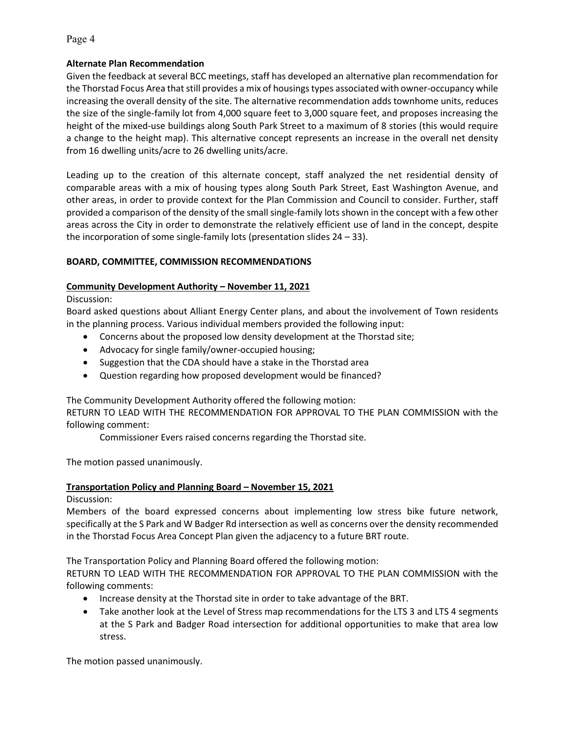### **Alternate Plan Recommendation**

Given the feedback at several BCC meetings, staff has developed an alternative plan recommendation for the Thorstad Focus Area that still provides a mix of housings types associated with owner-occupancy while increasing the overall density of the site. The alternative recommendation adds townhome units, reduces the size of the single-family lot from 4,000 square feet to 3,000 square feet, and proposes increasing the height of the mixed-use buildings along South Park Street to a maximum of 8 stories (this would require a change to the height map). This alternative concept represents an increase in the overall net density from 16 dwelling units/acre to 26 dwelling units/acre.

Leading up to the creation of this alternate concept, staff analyzed the net residential density of comparable areas with a mix of housing types along South Park Street, East Washington Avenue, and other areas, in order to provide context for the Plan Commission and Council to consider. Further, staff provided a comparison of the density of the small single-family lots shown in the concept with a few other areas across the City in order to demonstrate the relatively efficient use of land in the concept, despite the incorporation of some single-family lots (presentation slides 24 – 33).

## **BOARD, COMMITTEE, COMMISSION RECOMMENDATIONS**

### **Community Development Authority – November 11, 2021**

Discussion:

Board asked questions about Alliant Energy Center plans, and about the involvement of Town residents in the planning process. Various individual members provided the following input:

- Concerns about the proposed low density development at the Thorstad site;
- Advocacy for single family/owner-occupied housing;
- Suggestion that the CDA should have a stake in the Thorstad area
- Question regarding how proposed development would be financed?

The Community Development Authority offered the following motion:

RETURN TO LEAD WITH THE RECOMMENDATION FOR APPROVAL TO THE PLAN COMMISSION with the following comment:

Commissioner Evers raised concerns regarding the Thorstad site.

The motion passed unanimously.

## **Transportation Policy and Planning Board – November 15, 2021**

## Discussion:

Members of the board expressed concerns about implementing low stress bike future network, specifically at the S Park and W Badger Rd intersection as well as concerns over the density recommended in the Thorstad Focus Area Concept Plan given the adjacency to a future BRT route.

The Transportation Policy and Planning Board offered the following motion:

RETURN TO LEAD WITH THE RECOMMENDATION FOR APPROVAL TO THE PLAN COMMISSION with the following comments:

- Increase density at the Thorstad site in order to take advantage of the BRT.
- Take another look at the Level of Stress map recommendations for the LTS 3 and LTS 4 segments at the S Park and Badger Road intersection for additional opportunities to make that area low stress.

The motion passed unanimously.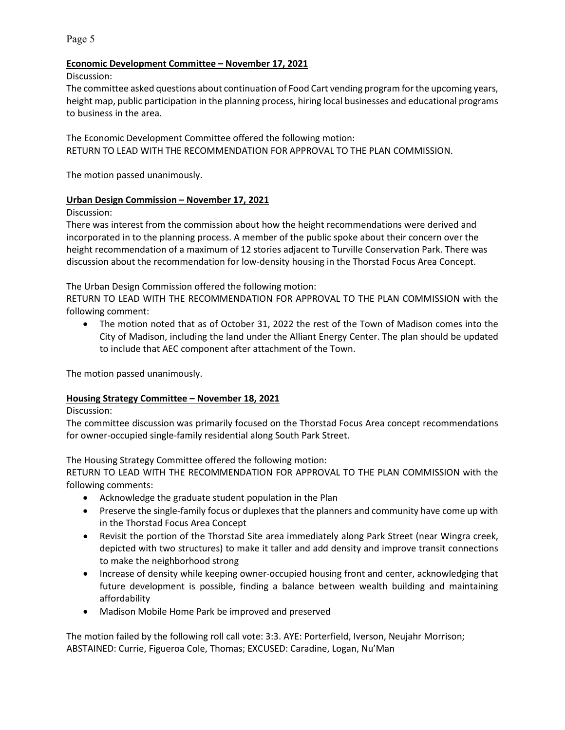#### **Economic Development Committee – November 17, 2021**

Discussion:

The committee asked questions about continuation of Food Cart vending program for the upcoming years, height map, public participation in the planning process, hiring local businesses and educational programs to business in the area.

The Economic Development Committee offered the following motion: RETURN TO LEAD WITH THE RECOMMENDATION FOR APPROVAL TO THE PLAN COMMISSION.

The motion passed unanimously.

### **Urban Design Commission – November 17, 2021**

Discussion:

There was interest from the commission about how the height recommendations were derived and incorporated in to the planning process. A member of the public spoke about their concern over the height recommendation of a maximum of 12 stories adjacent to Turville Conservation Park. There was discussion about the recommendation for low-density housing in the Thorstad Focus Area Concept.

The Urban Design Commission offered the following motion:

RETURN TO LEAD WITH THE RECOMMENDATION FOR APPROVAL TO THE PLAN COMMISSION with the following comment:

• The motion noted that as of October 31, 2022 the rest of the Town of Madison comes into the City of Madison, including the land under the Alliant Energy Center. The plan should be updated to include that AEC component after attachment of the Town.

The motion passed unanimously.

#### **Housing Strategy Committee – November 18, 2021**

#### Discussion:

The committee discussion was primarily focused on the Thorstad Focus Area concept recommendations for owner-occupied single-family residential along South Park Street.

The Housing Strategy Committee offered the following motion:

RETURN TO LEAD WITH THE RECOMMENDATION FOR APPROVAL TO THE PLAN COMMISSION with the following comments:

- Acknowledge the graduate student population in the Plan
- Preserve the single-family focus or duplexes that the planners and community have come up with in the Thorstad Focus Area Concept
- Revisit the portion of the Thorstad Site area immediately along Park Street (near Wingra creek, depicted with two structures) to make it taller and add density and improve transit connections to make the neighborhood strong
- Increase of density while keeping owner-occupied housing front and center, acknowledging that future development is possible, finding a balance between wealth building and maintaining affordability
- Madison Mobile Home Park be improved and preserved

The motion failed by the following roll call vote: 3:3. AYE: Porterfield, Iverson, Neujahr Morrison; ABSTAINED: Currie, Figueroa Cole, Thomas; EXCUSED: Caradine, Logan, Nu'Man